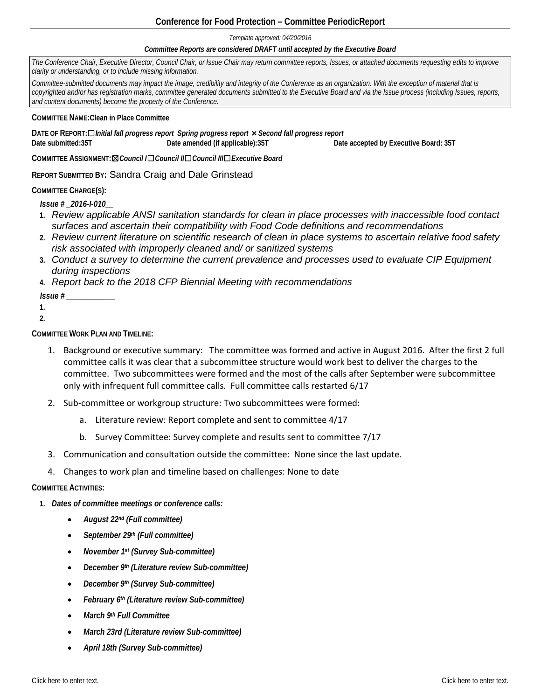# **Conference for Food Protection – Committee PeriodicReport**

*Template approved: 04/20/2016*

#### *Committee Reports are considered DRAFT until accepted by the Executive Board*

*The Conference Chair, Executive Director, Council Chair, or Issue Chair may return committee reports, Issues, or attached documents requesting edits to improve clarity or understanding, or to include missing information.* 

*Committee-submitted documents may impact the image, credibility and integrity of the Conference as an organization. With the exception of material that is copyrighted and/or has registration marks, committee generated documents submitted to the Executive Board and via the Issue process (including Issues, reports, and content documents) become the property of the Conference.* 

**COMMITTEE NAME:Clean in Place Committee**

**DATE OF REPORT:**☐*Initial fall progress report**Spring progress report* ×*Second fall progress report* **Date submitted:35T Date amended (if applicable):35T Date accepted by Executive Board: 35T**

**COMMITTEE ASSIGNMENT:**☒*Council I*☐*Council II*☐*Council III*☐*Executive Board*

**REPORT SUBMITTED BY:** Sandra Craig and Dale Grinstead

### **COMMITTEE CHARGE(S):**

*Issue # \_2016-I-010\_\_*

- **1.** *Review applicable ANSI sanitation standards for clean in place processes with inaccessible food contact surfaces and ascertain their compatibility with Food Code definitions and recommendations*
- **2.** *Review current literature on scientific research of clean in place systems to ascertain relative food safety risk associated with improperly cleaned and/ or sanitized systems*
- **3.** *Conduct a survey to determine the current prevalence and processes used to evaluate CIP Equipment during inspections*
- **4.** *Report back to the 2018 CFP Biennial Meeting with recommendations*

*Issue # \_\_\_\_\_\_\_\_\_\_\_\_*

- **1.**
- **2.**

**COMMITTEE WORK PLAN AND TIMELINE:**

- 1. Background or executive summary: The committee was formed and active in August 2016. After the first 2 full committee calls it was clear that a subcommittee structure would work best to deliver the charges to the committee. Two subcommittees were formed and the most of the calls after September were subcommittee only with infrequent full committee calls. Full committee calls restarted 6/17
- 2. Sub-committee or workgroup structure: Two subcommittees were formed:
	- a. Literature review: Report complete and sent to committee 4/17
	- b. Survey Committee: Survey complete and results sent to committee 7/17
- 3. Communication and consultation outside the committee: None since the last update.
- 4. Changes to work plan and timeline based on challenges: None to date

# **COMMITTEE ACTIVITIES:**

- **1.** *Dates of committee meetings or conference calls:*
	- *August 22nd (Full committee)*
	- *September 29th (Full committee)*
	- *November 1st (Survey Sub-committee)*
	- *December 9th (Literature review Sub-committee)*
	- *December 9th (Survey Sub-committee)*
	- *February 6th (Literature review Sub-committee)*
	- *March 9th Full Committee*
	- *March 23rd (Literature review Sub-committee)*
	- *April 18th (Survey Sub-committee)*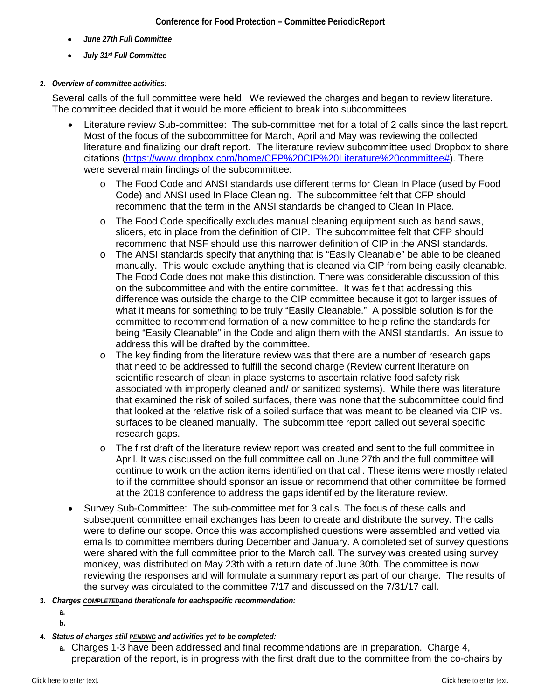- *June 27th Full Committee*
- *July 31st Full Committee*

# **2.** *Overview of committee activities:*

Several calls of the full committee were held. We reviewed the charges and began to review literature. The committee decided that it would be more efficient to break into subcommittees

- Literature review Sub-committee: The sub-committee met for a total of 2 calls since the last report. Most of the focus of the subcommittee for March, April and May was reviewing the collected literature and finalizing our draft report. The literature review subcommittee used Dropbox to share citations [\(https://www.dropbox.com/home/CFP%20CIP%20Literature%20committee#\)](https://www.dropbox.com/home/CFP%20CIP%20Literature%20committee). There were several main findings of the subcommittee:
	- o The Food Code and ANSI standards use different terms for Clean In Place (used by Food Code) and ANSI used In Place Cleaning. The subcommittee felt that CFP should recommend that the term in the ANSI standards be changed to Clean In Place.
	- o The Food Code specifically excludes manual cleaning equipment such as band saws, slicers, etc in place from the definition of CIP. The subcommittee felt that CFP should recommend that NSF should use this narrower definition of CIP in the ANSI standards.
	- o The ANSI standards specify that anything that is "Easily Cleanable" be able to be cleaned manually. This would exclude anything that is cleaned via CIP from being easily cleanable. The Food Code does not make this distinction. There was considerable discussion of this on the subcommittee and with the entire committee. It was felt that addressing this difference was outside the charge to the CIP committee because it got to larger issues of what it means for something to be truly "Easily Cleanable." A possible solution is for the committee to recommend formation of a new committee to help refine the standards for being "Easily Cleanable" in the Code and align them with the ANSI standards. An issue to address this will be drafted by the committee.
	- $\circ$  The key finding from the literature review was that there are a number of research gaps that need to be addressed to fulfill the second charge (Review current literature on scientific research of clean in place systems to ascertain relative food safety risk associated with improperly cleaned and/ or sanitized systems). While there was literature that examined the risk of soiled surfaces, there was none that the subcommittee could find that looked at the relative risk of a soiled surface that was meant to be cleaned via CIP vs. surfaces to be cleaned manually. The subcommittee report called out several specific research gaps.
	- o The first draft of the literature review report was created and sent to the full committee in April. It was discussed on the full committee call on June 27th and the full committee will continue to work on the action items identified on that call. These items were mostly related to if the committee should sponsor an issue or recommend that other committee be formed at the 2018 conference to address the gaps identified by the literature review.
- Survey Sub-Committee: The sub-committee met for 3 calls. The focus of these calls and subsequent committee email exchanges has been to create and distribute the survey. The calls were to define our scope. Once this was accomplished questions were assembled and vetted via emails to committee members during December and January. A completed set of survey questions were shared with the full committee prior to the March call. The survey was created using survey monkey, was distributed on May 23th with a return date of June 30th. The committee is now reviewing the responses and will formulate a summary report as part of our charge. The results of the survey was circulated to the committee 7/17 and discussed on the 7/31/17 call.
- **3.** *Charges COMPLETEDand therationale for eachspecific recommendation:*
	- **a.**
	- **b.**
- **4.** *Status of charges still PENDING and activities yet to be completed:*
	- **a.** Charges 1-3 have been addressed and final recommendations are in preparation. Charge 4, preparation of the report, is in progress with the first draft due to the committee from the co-chairs by